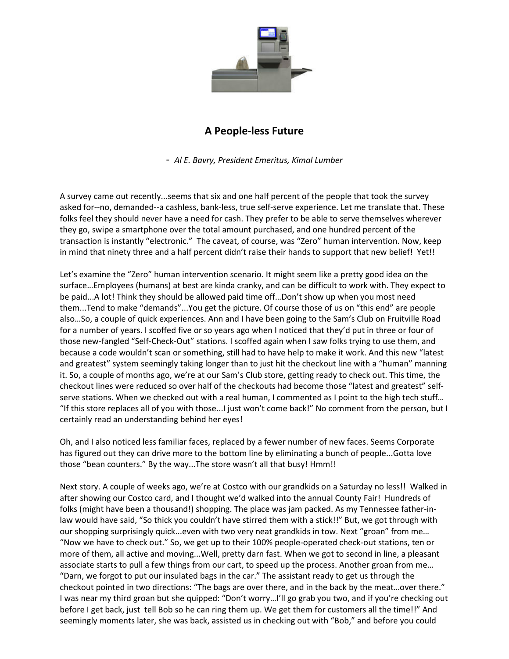

## **A People-less Future**

- *Al E. Bavry, President Emeritus, Kimal Lumber* 

A survey came out recently...seems that six and one half percent of the people that took the survey asked for--no, demanded--a cashless, bank-less, true self-serve experience. Let me translate that. These folks feel they should never have a need for cash. They prefer to be able to serve themselves wherever they go, swipe a smartphone over the total amount purchased, and one hundred percent of the transaction is instantly "electronic." The caveat, of course, was "Zero" human intervention. Now, keep in mind that ninety three and a half percent didn't raise their hands to support that new belief! Yet!!

Let's examine the "Zero" human intervention scenario. It might seem like a pretty good idea on the surface…Employees (humans) at best are kinda cranky, and can be difficult to work with. They expect to be paid...A lot! Think they should be allowed paid time off...Don't show up when you most need them...Tend to make "demands"...You get the picture. Of course those of us on "this end" are people also…So, a couple of quick experiences. Ann and I have been going to the Sam's Club on Fruitville Road for a number of years. I scoffed five or so years ago when I noticed that they'd put in three or four of those new-fangled "Self-Check-Out" stations. I scoffed again when I saw folks trying to use them, and because a code wouldn't scan or something, still had to have help to make it work. And this new "latest and greatest" system seemingly taking longer than to just hit the checkout line with a "human" manning it. So, a couple of months ago, we're at our Sam's Club store, getting ready to check out. This time, the checkout lines were reduced so over half of the checkouts had become those "latest and greatest" selfserve stations. When we checked out with a real human, I commented as I point to the high tech stuff... "If this store replaces all of you with those...I just won't come back!" No comment from the person, but I certainly read an understanding behind her eyes!

Oh, and I also noticed less familiar faces, replaced by a fewer number of new faces. Seems Corporate has figured out they can drive more to the bottom line by eliminating a bunch of people...Gotta love those "bean counters." By the way...The store wasn't all that busy! Hmm!!

Next story. A couple of weeks ago, we're at Costco with our grandkids on a Saturday no less!! Walked in after showing our Costco card, and I thought we'd walked into the annual County Fair! Hundreds of folks (might have been a thousand!) shopping. The place was jam packed. As my Tennessee father-inlaw would have said, "So thick you couldn't have stirred them with a stick!!" But, we got through with our shopping surprisingly quick...even with two very neat grandkids in tow. Next "groan" from me… "Now we have to check out." So, we get up to their 100% people-operated check-out stations, ten or more of them, all active and moving...Well, pretty darn fast. When we got to second in line, a pleasant associate starts to pull a few things from our cart, to speed up the process. Another groan from me… "Darn, we forgot to put our insulated bags in the car." The assistant ready to get us through the checkout pointed in two directions: "The bags are over there, and in the back by the meat…over there." I was near my third groan but she quipped: "Don't worry…I'll go grab you two, and if you're checking out before I get back, just tell Bob so he can ring them up. We get them for customers all the time!!" And seemingly moments later, she was back, assisted us in checking out with "Bob," and before you could